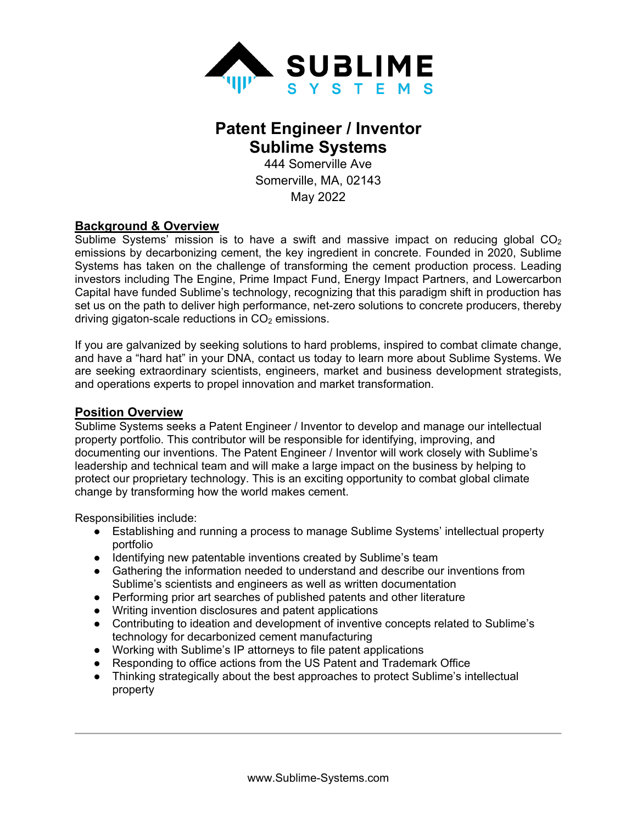

# **Patent Engineer / Inventor Sublime Systems**

444 Somerville Ave Somerville, MA, 02143 May 2022

#### **Background & Overview**

Sublime Systems' mission is to have a swift and massive impact on reducing global  $CO<sub>2</sub>$ emissions by decarbonizing cement, the key ingredient in concrete. Founded in 2020, Sublime Systems has taken on the challenge of transforming the cement production process. Leading investors including The Engine, Prime Impact Fund, Energy Impact Partners, and Lowercarbon Capital have funded Sublime's technology, recognizing that this paradigm shift in production has set us on the path to deliver high performance, net-zero solutions to concrete producers, thereby driving gigaton-scale reductions in  $CO<sub>2</sub>$  emissions.

If you are galvanized by seeking solutions to hard problems, inspired to combat climate change, and have a "hard hat" in your DNA, contact us today to learn more about Sublime Systems. We are seeking extraordinary scientists, engineers, market and business development strategists, and operations experts to propel innovation and market transformation.

#### **Position Overview**

Sublime Systems seeks a Patent Engineer / Inventor to develop and manage our intellectual property portfolio. This contributor will be responsible for identifying, improving, and documenting our inventions. The Patent Engineer / Inventor will work closely with Sublime's leadership and technical team and will make a large impact on the business by helping to protect our proprietary technology. This is an exciting opportunity to combat global climate change by transforming how the world makes cement.

Responsibilities include:

- Establishing and running a process to manage Sublime Systems' intellectual property portfolio
- Identifying new patentable inventions created by Sublime's team
- Gathering the information needed to understand and describe our inventions from Sublime's scientists and engineers as well as written documentation
- Performing prior art searches of published patents and other literature
- Writing invention disclosures and patent applications
- Contributing to ideation and development of inventive concepts related to Sublime's technology for decarbonized cement manufacturing
- Working with Sublime's IP attorneys to file patent applications
- Responding to office actions from the US Patent and Trademark Office
- Thinking strategically about the best approaches to protect Sublime's intellectual property